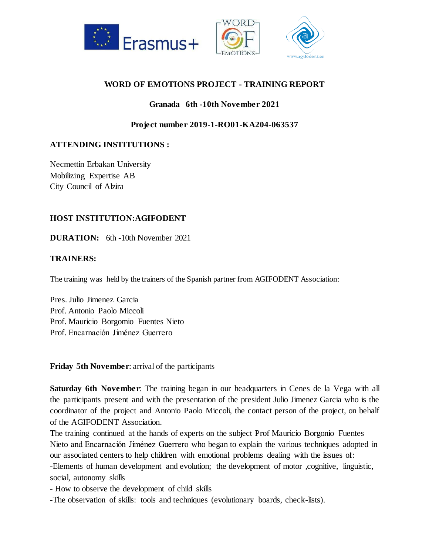

## **WORD OF EMOTIONS PROJECT - TRAINING REPORT**

## **Granada 6th -10th November 2021**

**Project number 2019-1-RO01-KA204-063537**

# **ATTENDING INSTITUTIONS :**

Necmettin Erbakan University Mobilizing Expertise AB City Council of Alzira

### **HOST INSTITUTION:AGIFODENT**

**DURATION:** 6th -10th November 2021

### **TRAINERS:**

The training was held by the trainers of the Spanish partner from AGIFODENT Association:

Pres. Julio Jimenez Garcia Prof. Antonio Paolo Miccoli Prof. Mauricio Borgomio Fuentes Nieto Prof. Encarnación Jiménez Guerrero

**Friday 5th November**: arrival of the participants

**Saturday 6th November**: The training began in our headquarters in Cenes de la Vega with all the participants present and with the presentation of the president Julio Jimenez Garcia who is the coordinator of the project and Antonio Paolo Miccoli, the contact person of the project, on behalf of the AGIFODENT Association.

The training continued at the hands of experts on the subject Prof Mauricio Borgonio Fuentes Nieto and Encarnación Jiménez Guerrero who began to explain the various techniques adopted in our associated centers to help children with emotional problems dealing with the issues of:

-Elements of human development and evolution; the development of motor ,cognitive, linguistic, social, autonomy skills

- How to observe the development of child skills

-The observation of skills: tools and techniques (evolutionary boards, check-lists).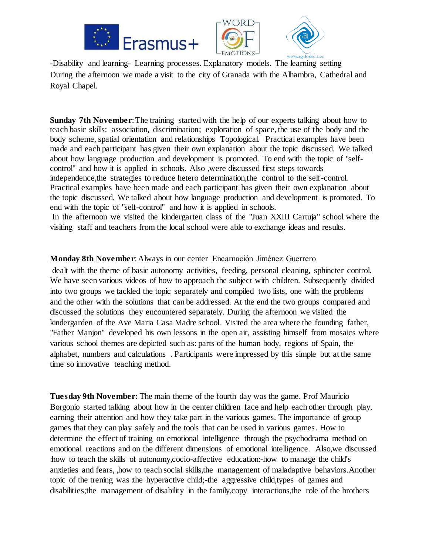





-Disability and learning- Learning processes. Explanatory models. The learning setting During the afternoon we made a visit to the city of Granada with the Alhambra, Cathedral and Royal Chapel.

**Sunday 7th November**: The training started with the help of our experts talking about how to teach basic skills: association, discrimination; exploration of space, the use of the body and the body scheme, spatial orientation and relationships Topological. Practical examples have been made and each participant has given their own explanation about the topic discussed. We talked about how language production and development is promoted. To end with the topic of "selfcontrol" and how it is applied in schools. Also ,were discussed first steps towards independence,the strategies to reduce hetero determination,the control to the self-control. Practical examples have been made and each participant has given their own explanation about the topic discussed. We talked about how language production and development is promoted. To end with the topic of "self-control" and how it is applied in schools. In the afternoon we visited the kindergarten class of the "Juan XXIII Cartuja" school where the

visiting staff and teachers from the local school were able to exchange ideas and results.

# **Monday 8th November**:Always in our center Encarnación Jiménez Guerrero

dealt with the theme of basic autonomy activities, feeding, personal cleaning, sphincter control. We have seen various videos of how to approach the subject with children. Subsequently divided into two groups we tackled the topic separately and compiled two lists, one with the problems and the other with the solutions that can be addressed. At the end the two groups compared and discussed the solutions they encountered separately. During the afternoon we visited the kindergarden of the Ave Maria Casa Madre school. Visited the area where the founding father, "Father Manjon" developed his own lessons in the open air, assisting himself from mosaics where various school themes are depicted such as: parts of the human body, regions of Spain, the alphabet, numbers and calculations . Participants were impressed by this simple but at the same time so innovative teaching method.

**Tuesday 9th November:** The main theme of the fourth day was the game. Prof Mauricio Borgonio started talking about how in the center children face and help each other through play, earning their attention and how they take part in the various games. The importance of group games that they can play safely and the tools that can be used in various games. How to determine the effect of training on emotional intelligence through the psychodrama method on emotional reactions and on the different dimensions of emotional intelligence. Also,we discussed :how to teach the skills of autonomy,cocio-affective education:-how to manage the child's anxieties and fears, ,how to teach social skills,the management of maladaptive behaviors.Another topic of the trening was :the hyperactive child;-the aggressive child,types of games and disabilities;the management of disability in the family,copy interactions,the role of the brothers